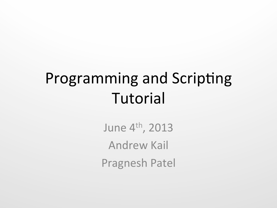# Programming and Scripting Tutorial

June 4<sup>th</sup>, 2013 **Andrew Kail** Pragnesh Patel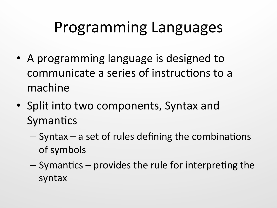#### Programming Languages

- A programming language is designed to communicate a series of instructions to a machine
- Split into two components, Syntax and Symantics
	- $-$  Syntax  $-$  a set of rules defining the combinations of symbols
	- $-$  Symantics  $-$  provides the rule for interpreting the syntax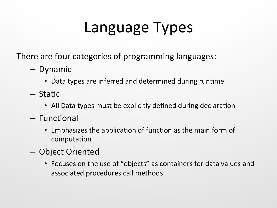# Language Types

There are four categories of programming languages:

- Dynamic
	- Data types are inferred and determined during runtime
- Static
	- All Data types must be explicitly defined during declaration
- $-$  Functional
	- Emphasizes the application of function as the main form of computation
- Object Oriented
	- Focuses on the use of "objects" as containers for data values and associated procedures call methods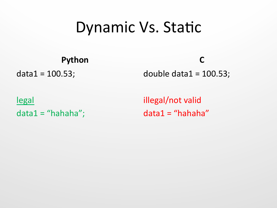#### Dynamic Vs. Static

**Python** 

 $data1 = 100.53;$ 

**C** 

double  $data1 = 100.53$ ;

legal  $data1 = "hahaha";$  illegal/not valid  $data1 = "hahaha"$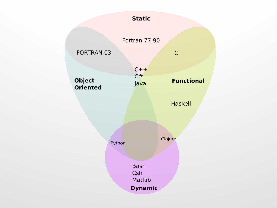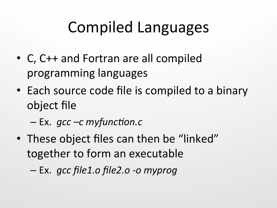# Compiled Languages

- C, C++ and Fortran are all compiled programming languages
- Each source code file is compiled to a binary object file
	- Ex. *gcc –c myfunc\*on.c*
- These object files can then be "linked" together to form an executable
	- Ex. *gcc file1.o file2.o -o myprog*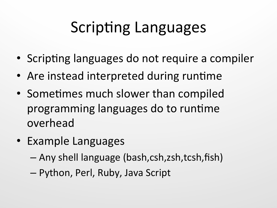# Scripting Languages

- Scripting languages do not require a compiler
- Are instead interpreted during runtime
- Sometimes much slower than compiled programming languages do to runtime overhead
- Example Languages
	- Any shell language (bash,csh,zsh,tcsh,fish)
	- $-$  Python, Perl, Ruby, Java Script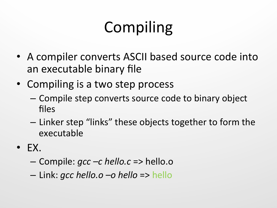# Compiling

- A compiler converts ASCII based source code into an executable binary file
- Compiling is a two step process
	- Compile step converts source code to binary object files
	- $-$  Linker step "links" these objects together to form the executable
- $\bullet$  EX.
	- Compile: *gcc –c hello.c* => hello.o
	- Link: *gcc hello.o –o hello* => hello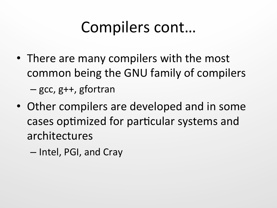## Compilers cont...

- There are many compilers with the most common being the GNU family of compilers  $-$  gcc, g++, gfortran
- Other compilers are developed and in some cases optimized for particular systems and architectures
	- $-$  Intel, PGI, and Cray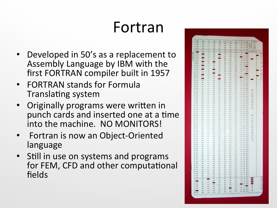# Fortran

- Developed in 50's as a replacement to Assembly Language by IBM with the first FORTRAN compiler built in 1957
- **FORTRAN stands for Formula** Translating system
- Originally programs were written in punch cards and inserted one at a time into the machine. NO MONITORS!
- Fortran is now an Object-Oriented language
- Still in use on systems and programs for FEM, CFD and other computational fields

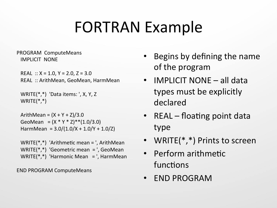### **FORTRAN Example**

PROGRAM ComputeMeans IMPLICIT NONE

REAL  $:: X = 1.0, Y = 2.0, Z = 3.0$ REAL :: ArithMean, GeoMean, HarmMean

```
WRITE(*,*) 'Data items: ', X, Y, Z
			WRITE(*,*)
```
ArithMean =  $(X + Y + Z)/3.0$ GeoMean =  $(X * Y * Z) * *(1.0/3.0)$ HarmMean =  $3.0/(1.0/X + 1.0/Y + 1.0/Z)$ 

WRITE(\*,\*) 'Arithmetic mean = ', ArithMean WRITE $(*,*)$  'Geometric mean  $=$ ', GeoMean WRITE(\*,\*) 'Harmonic Mean  $=$ ', HarmMean

END PROGRAM ComputeMeans

- Begins by defining the name of the program
- $\bullet$  IMPLICIT NONE all data types must be explicitly declared
- REAL floating point data type
- WRITE $(*,*)$  Prints to screen
- Perform arithmetic functions
- END PROGRAM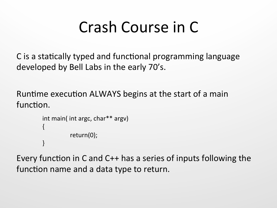## Crash Course in C

C is a statically typed and functional programming language developed by Bell Labs in the early 70's.

Runtime execution ALWAYS begins at the start of a main function.

```
int main( int argc, char** argv)
\{return(0);	
}
```
Every function in C and C++ has a series of inputs following the function name and a data type to return.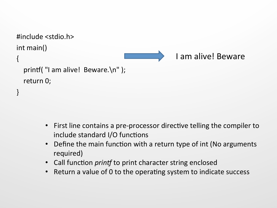```
#include	<stdio.h>	
int main()
{	
  printf("I am alive! Beware.\n" );
  return 0;
}	
                                                     I am alive! Beware
```
- First line contains a pre-processor directive telling the compiler to  $include$  standard I/O functions
- Define the main function with a return type of int (No arguments required)
- Call function *printf* to print character string enclosed
- Return a value of 0 to the operating system to indicate success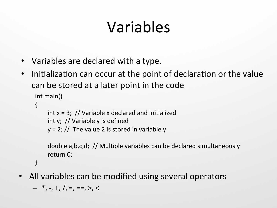# Variables

- Variables are declared with a type.
- Initialization can occur at the point of declaration or the value can be stored at a later point in the code

```
int main()
{
    int x = 3; // Variable x declared and initialized
    int y; // Variable y is defined
    y = 2; // The value 2 is stored in variable y
```
double a,b,c,d; // Multiple variables can be declared simultaneously return 0;

} 

• All variables can be modified using several operators

 $-$  \*, -, +, /, =, ==, >, <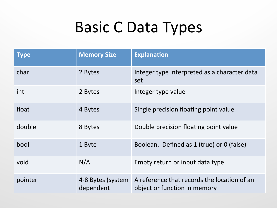## Basic C Data Types

| <b>Type</b> | <b>Memory Size</b>             | <b>Explanation</b>                                                          |
|-------------|--------------------------------|-----------------------------------------------------------------------------|
| char        | 2 Bytes                        | Integer type interpreted as a character data<br>set                         |
| int         | 2 Bytes                        | Integer type value                                                          |
| float       | 4 Bytes                        | Single precision floating point value                                       |
| double      | 8 Bytes                        | Double precision floating point value                                       |
| bool        | 1 Byte                         | Boolean. Defined as 1 (true) or 0 (false)                                   |
| void        | N/A                            | Empty return or input data type                                             |
| pointer     | 4-8 Bytes (system<br>dependent | A reference that records the location of an<br>object or function in memory |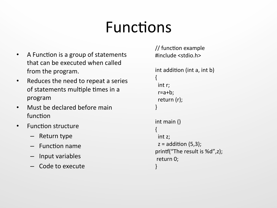## Functions

- A Function is a group of statements that can be executed when called from the program.
- Reduces the need to repeat a series of statements multiple times in a program
- Must be declared before main function
- Function structure
	- Return type
	- $-$  Function name
	- $-$  Input variables
	- Code to execute

```
\frac{1}{\sqrt{2}} function example
#include	<stdio.h>	
int addition (int a, int b)
{	
 int r;
 		r=a+b;	
 return (r);
}	
int main ()
{	
 int z;
 z = addition (5,3);
printf("The result is %d",z);
return 0;
}
```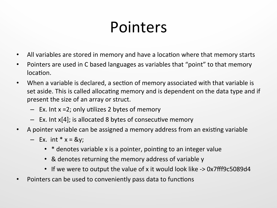## Pointers

- All variables are stored in memory and have a location where that memory starts
- Pointers are used in C based languages as variables that "point" to that memory location.
- When a variable is declared, a section of memory associated with that variable is set aside. This is called allocating memory and is dependent on the data type and if present the size of an array or struct.
	- $-$  Ex. Int x =2; only utilizes 2 bytes of memory
	- $-$  Ex. Int x[4]; is allocated 8 bytes of consecutive memory
- A pointer variable can be assigned a memory address from an existing variable
	- $-$  Ex. int  $* x = \&y$ 
		- \* denotes variable x is a pointer, pointing to an integer value
		- & denotes returning the memory address of variable y
		- If we were to output the value of x it would look like -> 0x7fff9c5089d4
- Pointers can be used to conveniently pass data to functions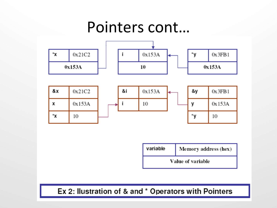#### Pointers cont...



| variable          | Memory address (hex) |  |
|-------------------|----------------------|--|
| Value of variable |                      |  |

#### Ex 2: Ilustration of & and \* Operators with Pointers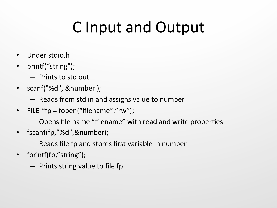# C Input and Output

- Under stdio.h
- printf("string");
	- $-$  Prints to std out
- scanf("%d", &number );
	- $-$  Reads from std in and assigns value to number
- FILE  $*fp = fopen("filename", "rw")$ ;
	- Opens file name "filename" with read and write properties
- fscanf(fp,"%d",&number);
	- $-$  Reads file fp and stores first variable in number
- fprintf(fp,"string");
	- $-$  Prints string value to file fp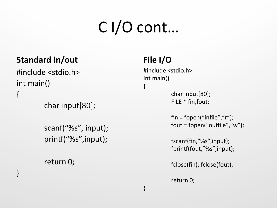# C I/O cont…

 $\{$ 

} 

#### **Standard in/out**

#include <stdio.h> int main() { 

char input[80];

scanf("%s", input); printf("%s",input);

return 0;

} 

#### File I/O

#include <stdio.h> int main()

> char input $[80]$ ; FILE \* fin, fout;

 $fin = fopen("infile", "r");$  $fout = fopen("outfile", "w");$ 

fscanf(fin,"%s",input); fprintf(fout,"%s",input);

fclose(fin); fclose(fout);

return 0;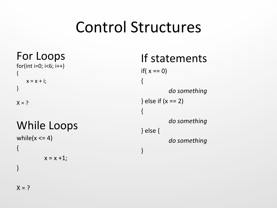#### Control Structures

For Loops  $for(int i=0; i<6; i++)$ {  $x = x + i$ ; } 

 $X = ?$ 

#### While Loops

```
while(x \leq 4)
{	
            x = x + 1;
}
```
#### If statements

if( $x == 0$ ) { *do something* } else if  $(x == 2)$  $\{$ *do something* } else { do something } 

 $X = ?$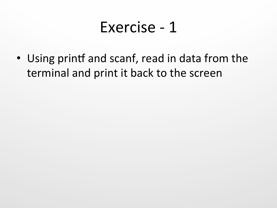#### Exercise - 1

• Using printf and scanf, read in data from the terminal and print it back to the screen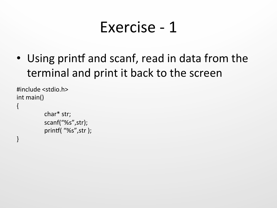#### Exercise - 1

• Using printf and scanf, read in data from the terminal and print it back to the screen

```
#include	<stdio.h>	
int main()
{	
           char*	str;	
           scanf("%s",str);	
           printf( "%s",str );
```
}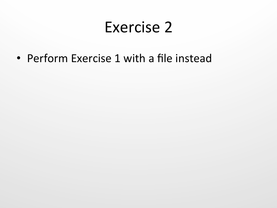#### Exercise 2

• Perform Exercise 1 with a file instead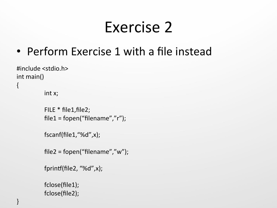#### Exercise 2

• Perform Exercise 1 with a file instead

```
#include	<stdio.h>	
int main()
{
```
int x;

```
FILE * file1, file2;
file1 = fopen("filename", "r");
```

```
fscanf(file1,"%d",x);
```

```
file2 = fopen("filename", "w");
```

```
fprintf(file2, "%d",x);
```

```
fclose(file1);	
fclose(file2);
```
}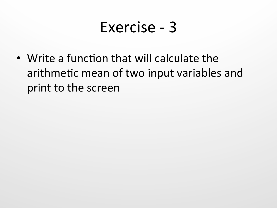#### Exercise - 3

• Write a function that will calculate the arithmetic mean of two input variables and print to the screen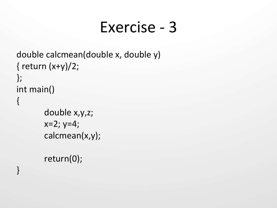#### Exercise - 3

```
double calcmean(double x, double y)
\{ return (x+y)/2;};	
int main()
{	
       double x,y,z;
       x=2; y=4;calcmean(x,y);
```

```
return(0);
```
}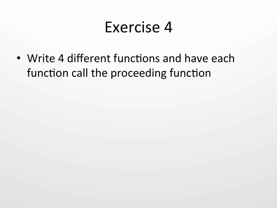#### Exercise 4

• Write 4 different functions and have each function call the proceeding function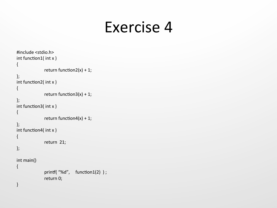#### Exercise 4

```
#include	<stdio.h>	
int function1(int x){	
              return function2(x) + 1;
};	
int function2(int x){	
              return function3(x) + 1;
};	
int function3( int x)
{	
              return function4(x) + 1;
};	
int function4(int x){	
              return 21;
};	
int main()
{	
              printf( "%d", function1(2) );
              return 0;
}
```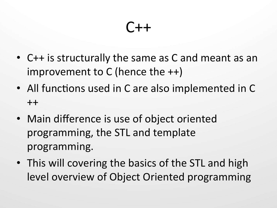#### C++

- C++ is structurally the same as C and meant as an improvement to  $C$  (hence the  $++$ )
- All functions used in C are also implemented in C  $++$
- Main difference is use of object oriented programming, the STL and template programming.
- This will covering the basics of the STL and high level overview of Object Oriented programming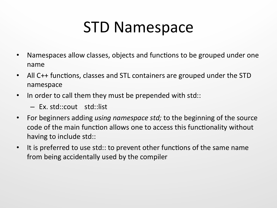## STD Namespace

- Namespaces allow classes, objects and functions to be grouped under one name
- All C++ functions, classes and STL containers are grouped under the STD namespace
- In order to call them they must be prepended with std::
	- Ex. std::cout std::list
- For beginners adding *using namespace std;* to the beginning of the source code of the main function allows one to access this functionality without having to include std::
- It is preferred to use std:: to prevent other functions of the same name from being accidentally used by the compiler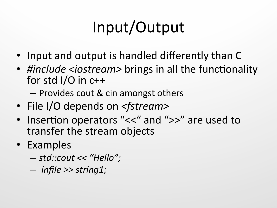# Input/Output

- Input and output is handled differently than C
- *#include <iostream>* brings in all the functionality for std  $I/O$  in  $c++$ 
	- $-$  Provides cout & cin amongst others
- File I/O depends on *<fstream>*
- Insertion operators "<<" and ">>" are used to transfer the stream objects
- Examples
	- *std::cout << "Hello";*
	- *infile >> string1;*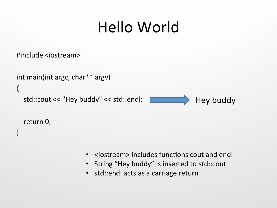## Hello World

#include <iostream> 

```
int main(int argc, char** argv)
{	
  std::cout << "Hey buddy" << std::endl;
                                                         Hey buddy
```
return 0;

} 

- $\cdot$  <iostream> includes functions cout and endl
- String "Hey buddy" is inserted to std::cout
- std::endl acts as a carriage return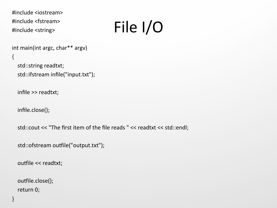```
#include	<iostream>	
#include	<fstream>	
#include	<string>
```
# File I/O

```
int main(int argc, char** argv)
```

```
std::string readtxt;
				std::ifstream infile("input.txt");
```
infile >> readtxt;

 infile.close(); 

{ 

std::cout << "The first item of the file reads " << readtxt << std::endl;

```
std::ofstream outfile("output.txt");
```
outfile << readtxt;

```
outfile.close();
return 0;
```
}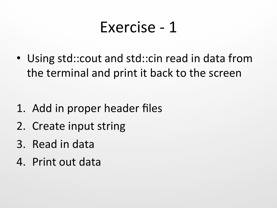#### Exercise - 1

• Using std::cout and std::cin read in data from the terminal and print it back to the screen

- 1. Add in proper header files
- 2. Create input string
- 3. Read in data
- 4. Print out data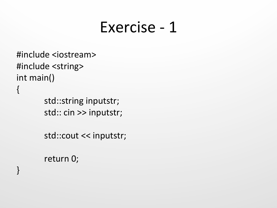#### Exercise - 1

```
#include	<iostream>	
#include <string>
int main()
{
```
std::string inputstr; std:: cin >> inputstr;

std::cout << inputstr;

```
return 0;
```
}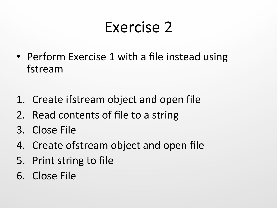#### Exercise 2

- Perform Exercise 1 with a file instead using fstream
- 1. Create ifstream object and open file
- 2. Read contents of file to a string
- 3. Close File
- 4. Create of stream object and open file
- 5. Print string to file
- 6. Close File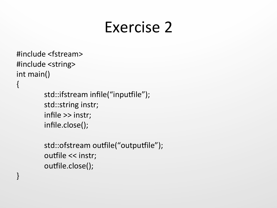#### Exercise 2

```
#include	<fstream>	
#include <string>
int main()
{
```
} 

```
std::ifstream infile("inputfile");
std::string instr;
infile >> instr;
infile.close();
```

```
std::ofstream outfile("outputfile");
outfile << instr;
outfile.close();
```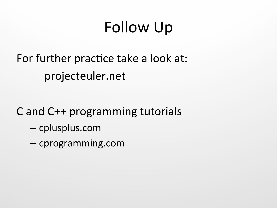# Follow Up

For further practice take a look at: projecteuler.net 

C and C++ programming tutorials

- cplusplus.com
- cprogramming.com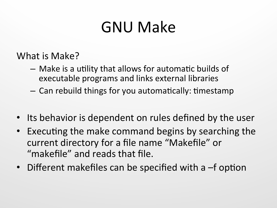## **GNU Make**

What is Make?

- $-$  Make is a utility that allows for automatic builds of executable programs and links external libraries
- $-$  Can rebuild things for you automatically: timestamp
- Its behavior is dependent on rules defined by the user
- Executing the make command begins by searching the current directory for a file name "Makefile" or "makefile" and reads that file.
- Different makefiles can be specified with a  $-$ f option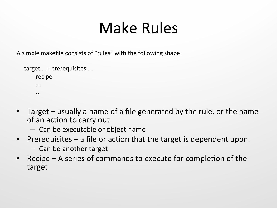## Make Rules

A simple makefile consists of "rules" with the following shape:

```
target ... : prerequisites ...
           													recipe	
													...	
													...
```
- Target usually a name of a file generated by the rule, or the name of an action to carry out
	- Can be executable or object name
- Prerequisites  $-$  a file or action that the target is dependent upon.
	- $-$  Can be another target
- Recipe  $-$  A series of commands to execute for completion of the target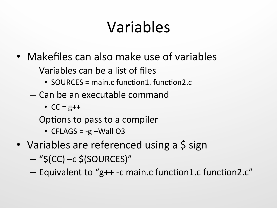# Variables

- Makefiles can also make use of variables
	- Variables can be a list of files
		- SOURCES = main.c function1. function2.c
	- Can be an executable command
		- $CC = g++$
	- $-$  Options to pass to a compiler
		- CFLAGS =  $-g$  –Wall O3
- Variables are referenced using a \$ sign
	- $-$  "\$(CC)  $-c$  \$(SOURCES)"
	- Equivalent to "g++ -c main.c function1.c function2.c"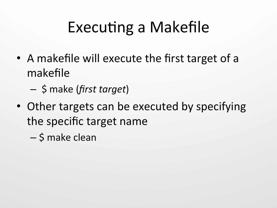# Executing a Makefile

- A makefile will execute the first target of a makefile
	- \$ make (*first target*)
- Other targets can be executed by specifying the specific target name
	- $-$  \$ make clean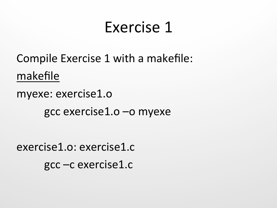#### Exercise 1

Compile Exercise 1 with a makefile: makefile

myexe: exercise1.o

gcc exercise1.o –o myexe

exercise1.o: exercise1.c gcc –c exercise1.c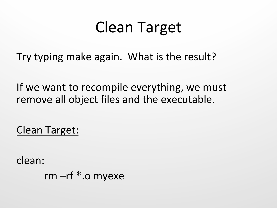## Clean Target

Try typing make again. What is the result?

If we want to recompile everything, we must remove all object files and the executable.

Clean Target:

clean: 

rm  $-$ rf  $*$ .o myexe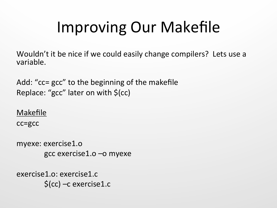# Improving Our Makefile

Wouldn't it be nice if we could easily change compilers? Lets use a variable. 

Add: "cc= gcc" to the beginning of the makefile Replace: "gcc" later on with  $\zeta$ (cc)

Makefile

cc=gcc

myexe: exercise1.o gcc exercise1.o –o myexe

exercise1.o: exercise1.c  $\zeta$ (cc) –c exercise1.c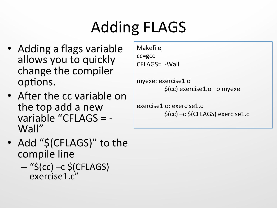# Adding FLAGS

- Adding a flags variable allows you to quickly change the compiler options.
- After the cc variable on the top add a new variable "CFLAGS =  $-$ Wall"
- Add "\$(CFLAGS)" to the compile line
	- $-$  "\$(cc)  $-c$  \$(CFLAGS) exercise1.c"

Makefile cc=gcc CFLAGS= - Wall

myexe: exercise1.o  $\zeta$ (cc) exercise1.o –o myexe

exercise1.o: exercise1.c  $\zeta$ (cc) –c  $\zeta$ (CFLAGS) exercise1.c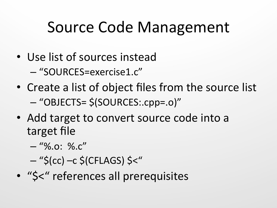## Source Code Management

- Use list of sources instead
	- "SOURCES=exercise1.c"
- Create a list of object files from the source list – "OBJECTS= \$(SOURCES:.cpp=.o)"
- Add target to convert source code into a target file
	- $-$  "%.o: %.c"
	- $-$  "\$(cc) –c \$(CFLAGS) \$<"
- "\$<" references all prerequisites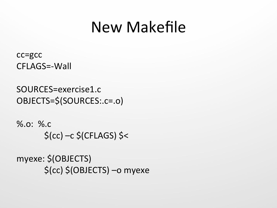#### New Makefile

cc=gcc CFLAGS=-Wall 

```
SOURCES=exercise1.c	
OBJECTS=$(SOURCES:.c=.o)
```
 $\%$ .o:  $\%$ .c  $\zeta(cc)$  –c  $\zeta(CFLAGS)$   $\zeta$ 

myexe: \$(OBJECTS) \$(cc) \$(OBJECTS) –o myexe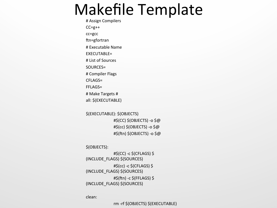#### Makefile Template

# Assign Compilers  $CC=g++$ cc=gcc ftn=gfortran # Executable Name EXECUTABLE= # List of Sources SOURCES= # Compiler Flags CFLAGS= FFLAGS= # Make Targets # all: \$(EXECUTABLE) 

\$(EXECUTABLE): \$(OBJECTS)  $\#$ \$(CC) \$(OBJECTS) -o \$@ #\$(cc) \$(OBJECTS) -o \$@ #\$(ftn) \$(OBJECTS) -o \$@

\$(OBJECTS): 

 $\sharp$ \$(CC) -c \$(CFLAGS) \$ (INCLUDE\_FLAGS) \$(SOURCES)  $#S(cc) -c$   $S(CFLAGS)$   $S$ (INCLUDE\_FLAGS) \$(SOURCES)  $# \xi$ (ftn) -c  $\xi$ (FFLAGS)  $\xi$ (INCLUDE\_FLAGS) \$(SOURCES) 

clean: 

rm -rf \$(OBJECTS) \$(EXECUTABLE)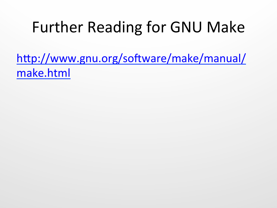## Further Reading for GNU Make

http://www.gnu.org/software/make/manual/ make.html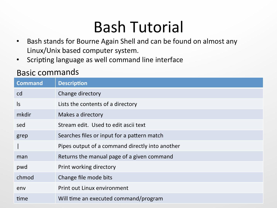## Bash Tutorial

- Bash stands for Bourne Again Shell and can be found on almost any Linux/Unix based computer system.
- Scripting language as well command line interface

#### Basic commands

| <b>Command</b> | <b>Description</b>                              |
|----------------|-------------------------------------------------|
| cd             | Change directory                                |
| $\mathsf{ls}$  | Lists the contents of a directory               |
| mkdir          | Makes a directory                               |
| sed            | Stream edit. Used to edit ascii text            |
| grep           | Searches files or input for a pattern match     |
|                | Pipes output of a command directly into another |
| man            | Returns the manual page of a given command      |
| pwd            | Print working directory                         |
| chmod          | Change file mode bits                           |
| env            | Print out Linux environment                     |
| time           | Will time an executed command/program           |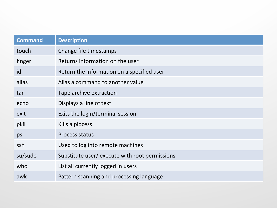| <b>Command</b> | <b>Description</b>                            |
|----------------|-----------------------------------------------|
| touch          | Change file timestamps                        |
| finger         | Returns information on the user               |
| id             | Return the information on a specified user    |
| alias          | Alias a command to another value              |
| tar            | Tape archive extraction                       |
| echo           | Displays a line of text                       |
| exit           | Exits the login/terminal session              |
| pkill          | Kills a plocess                               |
| ps             | Process status                                |
| ssh            | Used to log into remote machines              |
| su/sudo        | Substitute user/execute with root permissions |
| who            | List all currently logged in users            |
| awk            | Pattern scanning and processing language      |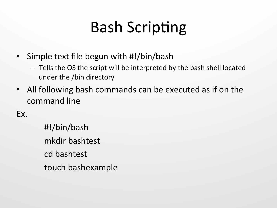# **Bash Scripting**

- Simple text file begun with #!/bin/bash
	- $-$  Tells the OS the script will be interpreted by the bash shell located under the /bin directory
- All following bash commands can be executed as if on the command line

Ex. 

#!/bin/bash mkdir bashtest cd bashtest touch bashexample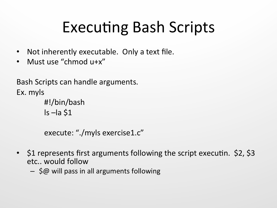# Executing Bash Scripts

- Not inherently executable. Only a text file.
- Must use "chmod u+x"

```
Bash Scripts can handle arguments.
Ex.	myls
       #!/bin/bash	
        ls –la $1
```

```
execute: "./myls exercise1.c"
```
- $\sin 1$  represents first arguments following the script executin.  $\sin 2$ ,  $\sin 3$ etc.. would follow
	- $-$  \$@ will pass in all arguments following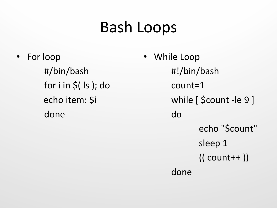#### Bash Loops

• For loop #/bin/bash for  $i$  in  $\zeta$ (  $|s|$ ); do echo item: \$i done 

While Loop #!/bin/bash count=1 while [ \$count -le 9 ] do echo "\$count" sleep 1  $(($  count++  $))$ done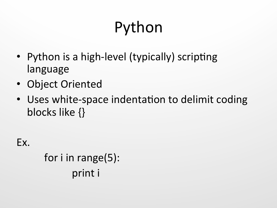# Python

- Python is a high-level (typically) scripting language
- Object Oriented
- Uses white-space indentation to delimit coding blocks like {}

Ex. 

for  $i$  in range(5): print i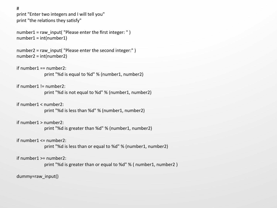# 

print "Enter two integers and I will tell you" print "the relations they satisfy"

```
number1 = raw input( "Please enter the first integer: ")
number1 = int(number1)
```

```
number2 = raw input( "Please enter the second integer:" )
number2 = int(number2)
```
if  $number1 == number2$ :

print "%d is equal to %d" % (number1, number2)

 $if number1 != number2$ :

print "%d is not equal to %d" % (number1, number2)

 $if number1 < number2$ :

print "%d is less than %d" % (number1, number2)

#### $if number1 > number2$ :

print "%d is greater than %d" % (number1, number2)

#### if  $number1 \leq number2$ :

print "%d is less than or equal to %d" % (number1, number2)

#### $if number1 >= number2$ :

print "%d is greater than or equal to %d" % ( number1, number2)

dummy=raw\_input()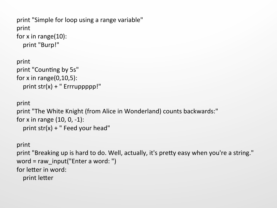```
print "Simple for loop using a range variable"
print	
for x in range(10):
  print "Burp!"
```

```
print	
print "Counting by 5s"
for x in range(0,10,5):
  print str(x) + "Errupppp!"
```

```
print	
print "The White Knight (from Alice in Wonderland) counts backwards:"
for x in range (10, 0, -1):
  print str(x) + " Feed your head"
```

```
print	
print "Breaking up is hard to do. Well, actually, it's pretty easy when you're a string."
word = raw input("Enter a word: ")
for letter in word:
  print letter
```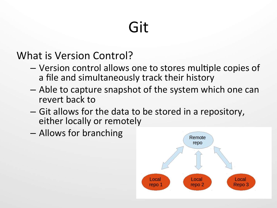# Git

What is Version Control?

- Version control allows one to stores multiple copies of a file and simultaneously track their history
- $-$  Able to capture snapshot of the system which one can revert back to
- Git allows for the data to be stored in a repository, either locally or remotely
- $-$  Allows for branching

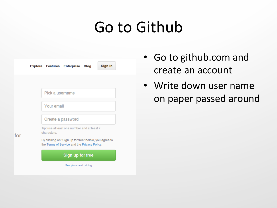#### Go to Github



- Go to github.com and create an account
- Write down user name on paper passed around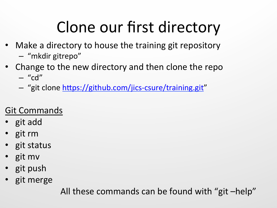# Clone our first directory

- Make a directory to house the training git repository
	- "mkdir gitrepo"
- Change to the new directory and then clone the repo
	- $-$  "cd"
	- "git clone https://github.com/jics-csure/training.git"

#### **Git Commands**

- git add
- git rm
- git status
- git mv
- git push
- git merge

All these commands can be found with "git -help"